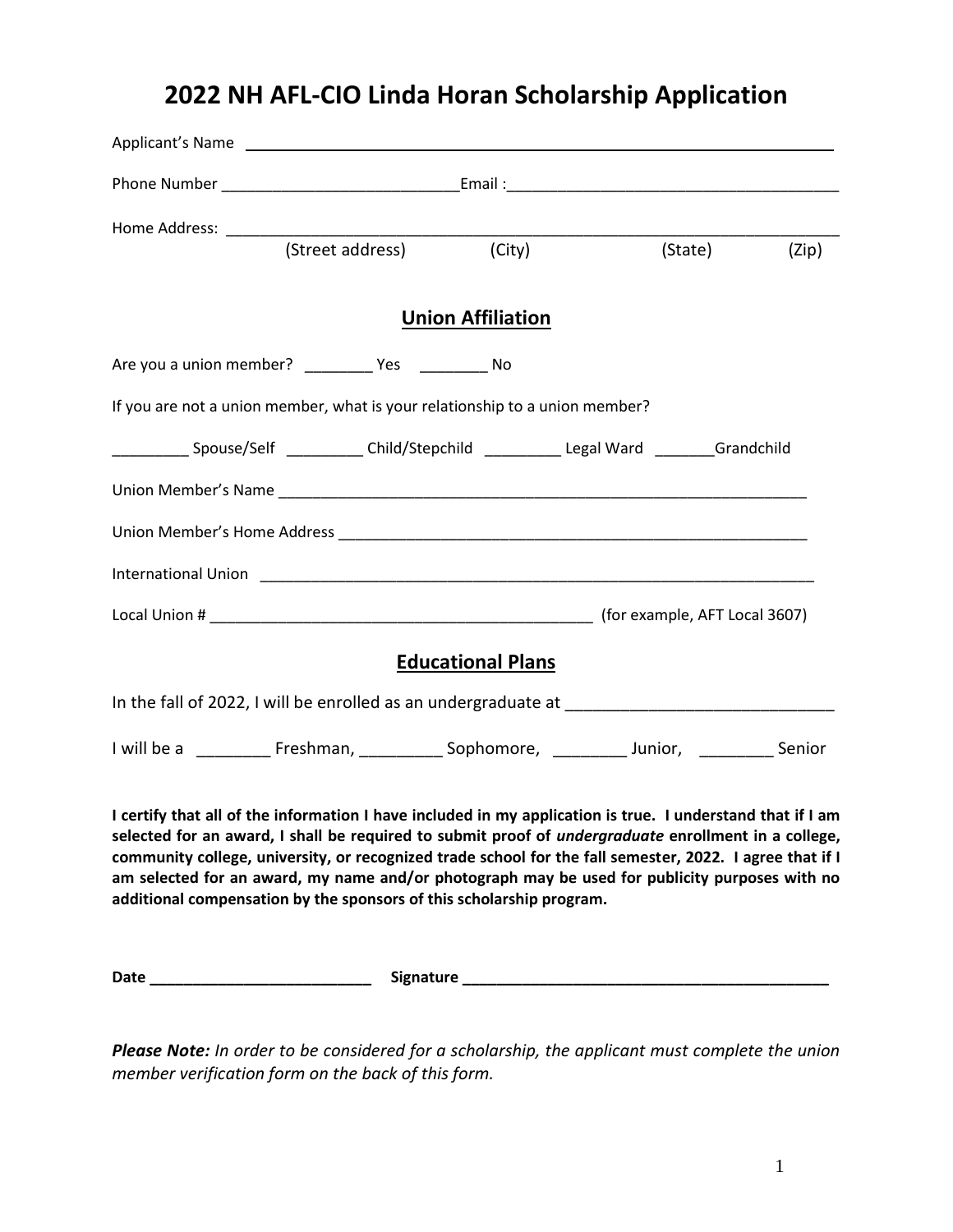## **2022 NH AFL-CIO Linda Horan Scholarship Application**

| Applicant's Name                                                                                                                                                                                                                                                                                                                                                                                                                                                                                                |                          |         |       |
|-----------------------------------------------------------------------------------------------------------------------------------------------------------------------------------------------------------------------------------------------------------------------------------------------------------------------------------------------------------------------------------------------------------------------------------------------------------------------------------------------------------------|--------------------------|---------|-------|
|                                                                                                                                                                                                                                                                                                                                                                                                                                                                                                                 |                          |         |       |
|                                                                                                                                                                                                                                                                                                                                                                                                                                                                                                                 |                          |         |       |
| (Street address)                                                                                                                                                                                                                                                                                                                                                                                                                                                                                                | (City)                   | (State) | (Zip) |
|                                                                                                                                                                                                                                                                                                                                                                                                                                                                                                                 | <b>Union Affiliation</b> |         |       |
| Are you a union member? ____________ Yes ______________ No                                                                                                                                                                                                                                                                                                                                                                                                                                                      |                          |         |       |
| If you are not a union member, what is your relationship to a union member?                                                                                                                                                                                                                                                                                                                                                                                                                                     |                          |         |       |
| ______________ Spouse/Self _____________ Child/Stepchild _____________ Legal Ward _________Grandchild                                                                                                                                                                                                                                                                                                                                                                                                           |                          |         |       |
|                                                                                                                                                                                                                                                                                                                                                                                                                                                                                                                 |                          |         |       |
|                                                                                                                                                                                                                                                                                                                                                                                                                                                                                                                 |                          |         |       |
|                                                                                                                                                                                                                                                                                                                                                                                                                                                                                                                 |                          |         |       |
|                                                                                                                                                                                                                                                                                                                                                                                                                                                                                                                 |                          |         |       |
|                                                                                                                                                                                                                                                                                                                                                                                                                                                                                                                 | <b>Educational Plans</b> |         |       |
|                                                                                                                                                                                                                                                                                                                                                                                                                                                                                                                 |                          |         |       |
| I will be a __________ Freshman, ____________ Sophomore, ___________ Junior, ___________ Senior                                                                                                                                                                                                                                                                                                                                                                                                                 |                          |         |       |
| I certify that all of the information I have included in my application is true. I understand that if I am<br>selected for an award, I shall be required to submit proof of <i>undergraduate</i> enrollment in a college,<br>community college, university, or recognized trade school for the fall semester, 2022. I agree that if I<br>am selected for an award, my name and/or photograph may be used for publicity purposes with no<br>additional compensation by the sponsors of this scholarship program. |                          |         |       |
|                                                                                                                                                                                                                                                                                                                                                                                                                                                                                                                 |                          |         |       |

*Please Note: In order to be considered for a scholarship, the applicant must complete the union member verification form on the back of this form.*